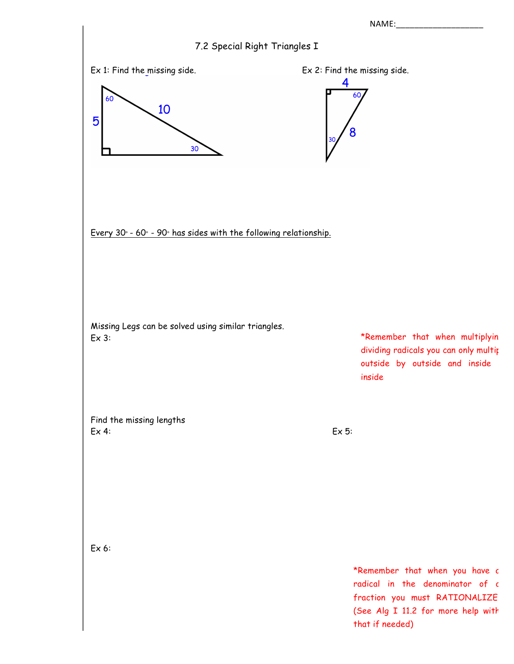NAME:

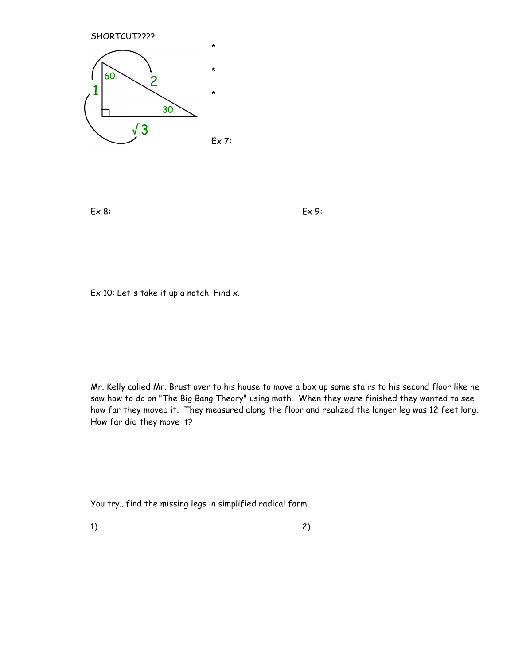

Ex 8: Ex 9:

Ex 10: Let's take it up a notch! Find x.

Mr. Kelly called Mr. Brust over to his house to move a box up some stairs to his second floor like he saw how to do on "The Big Bang Theory" using math. When they were finished they wanted to see how far they moved it. They measured along the floor and realized the longer leg was 12 feet long. How far did they move it?

You try...find the missing legs in simplified radical form.

1) and  $\overline{c}$  2)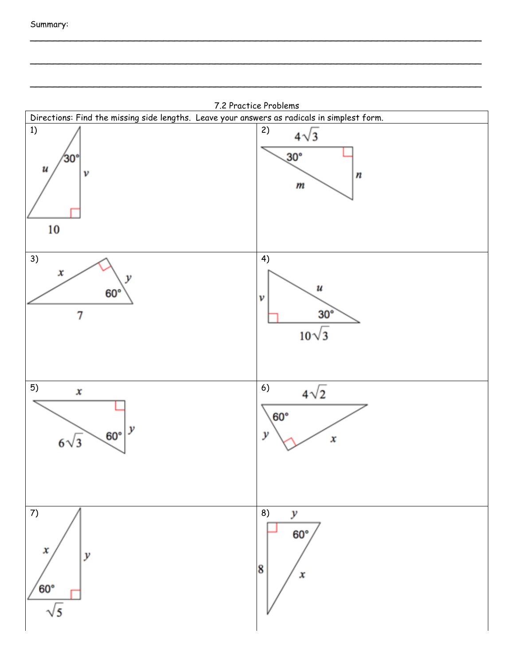

 $\mathcal{L}_\text{max}$  , and the contribution of the contribution of the contribution of the contribution of the contribution of the contribution of the contribution of the contribution of the contribution of the contribution of t

\_\_\_\_\_\_\_\_\_\_\_\_\_\_\_\_\_\_\_\_\_\_\_\_\_\_\_\_\_\_\_\_\_\_\_\_\_\_\_\_\_\_\_\_\_\_\_\_\_\_\_\_\_\_\_\_\_\_\_\_\_\_\_\_\_\_\_\_\_\_\_\_\_\_\_\_\_\_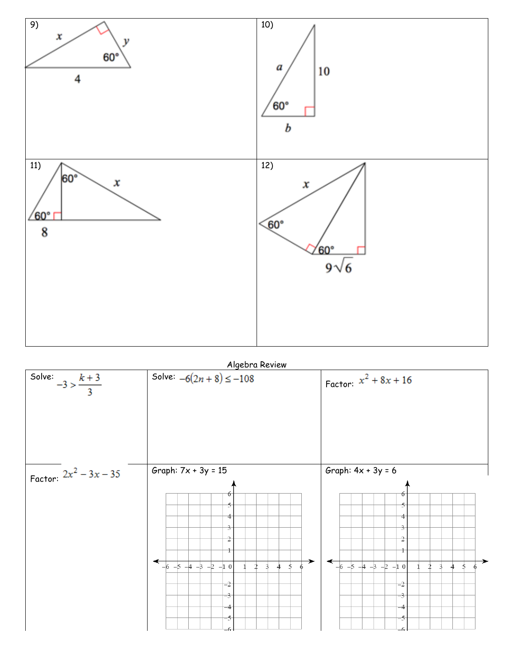